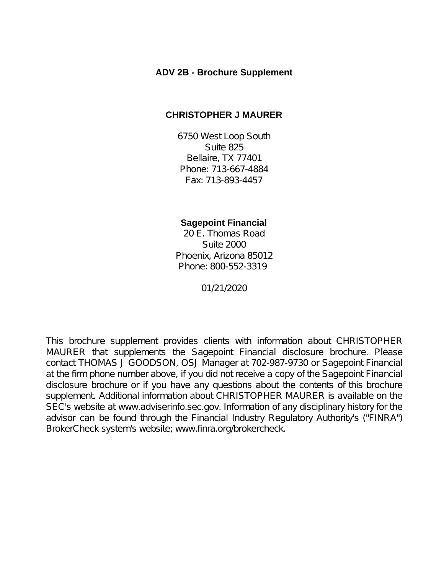### **ADV 2B - Brochure Supplement**

### **CHRISTOPHER J MAURER**

6750 West Loop South Suite 825 Bellaire, TX 77401 Phone: 713-667-4884 Fax: 713-893-4457

### **Sagepoint Financial**

20 E. Thomas Road Suite 2000 Phoenix, Arizona 85012 Phone: 800-552-3319

01/21/2020

This brochure supplement provides clients with information about CHRISTOPHER MAURER that supplements the Sagepoint Financial disclosure brochure. Please contact THOMAS J GOODSON, OSJ Manager at 702-987-9730 or Sagepoint Financial at the firm phone number above, if you did not receive a copy of the Sagepoint Financial disclosure brochure or if you have any questions about the contents of this brochure supplement. Additional information about CHRISTOPHER MAURER is available on the SEC's website at www.adviserinfo.sec.gov. Information of any disciplinary history for the advisor can be found through the Financial Industry Regulatory Authority's ("FINRA") BrokerCheck system's website; www.finra.org/brokercheck.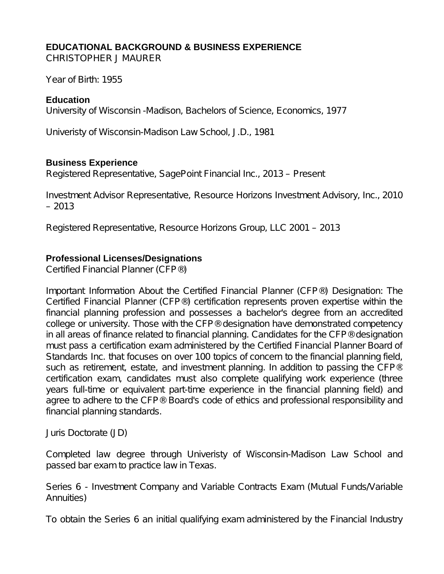## **EDUCATIONAL BACKGROUND & BUSINESS EXPERIENCE** CHRISTOPHER J MAURER

Year of Birth: 1955

## **Education**

University of Wisconsin -Madison, Bachelors of Science, Economics, 1977

Univeristy of Wisconsin-Madison Law School, J.D., 1981

# **Business Experience**

Registered Representative, SagePoint Financial Inc., 2013 – Present

Investment Advisor Representative, Resource Horizons Investment Advisory, Inc., 2010  $-2013$ 

Registered Representative, Resource Horizons Group, LLC 2001 – 2013

# **Professional Licenses/Designations**

Certified Financial Planner (CFP®)

Important Information About the Certified Financial Planner (CFP®) Designation: The Certified Financial Planner (CFP®) certification represents proven expertise within the financial planning profession and possesses a bachelor's degree from an accredited college or university. Those with the CFP® designation have demonstrated competency in all areas of finance related to financial planning. Candidates for the CFP® designation must pass a certification exam administered by the Certified Financial Planner Board of Standards Inc. that focuses on over 100 topics of concern to the financial planning field, such as retirement, estate, and investment planning. In addition to passing the CFP® certification exam, candidates must also complete qualifying work experience (three years full-time or equivalent part-time experience in the financial planning field) and agree to adhere to the CFP® Board's code of ethics and professional responsibility and financial planning standards.

Juris Doctorate (JD)

Completed law degree through Univeristy of Wisconsin-Madison Law School and passed bar exam to practice law in Texas.

Series 6 - Investment Company and Variable Contracts Exam (Mutual Funds/Variable Annuities)

To obtain the Series 6 an initial qualifying exam administered by the Financial Industry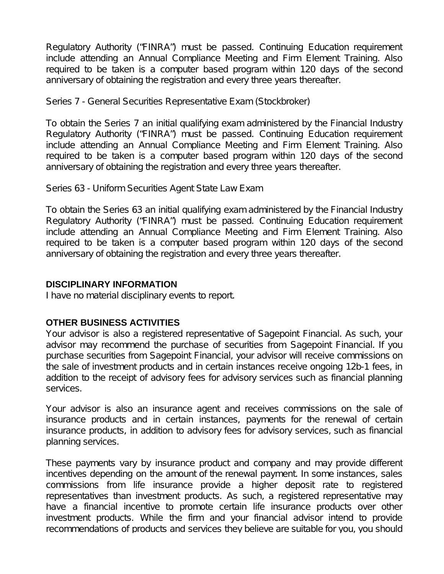Regulatory Authority ("FINRA") must be passed. Continuing Education requirement include attending an Annual Compliance Meeting and Firm Element Training. Also required to be taken is a computer based program within 120 days of the second anniversary of obtaining the registration and every three years thereafter.

Series 7 - General Securities Representative Exam (Stockbroker)

To obtain the Series 7 an initial qualifying exam administered by the Financial Industry Regulatory Authority ("FINRA") must be passed. Continuing Education requirement include attending an Annual Compliance Meeting and Firm Element Training. Also required to be taken is a computer based program within 120 days of the second anniversary of obtaining the registration and every three years thereafter.

Series 63 - Uniform Securities Agent State Law Exam

To obtain the Series 63 an initial qualifying exam administered by the Financial Industry Regulatory Authority ("FINRA") must be passed. Continuing Education requirement include attending an Annual Compliance Meeting and Firm Element Training. Also required to be taken is a computer based program within 120 days of the second anniversary of obtaining the registration and every three years thereafter.

# **DISCIPLINARY INFORMATION**

I have no material disciplinary events to report.

## **OTHER BUSINESS ACTIVITIES**

Your advisor is also a registered representative of Sagepoint Financial. As such, your advisor may recommend the purchase of securities from Sagepoint Financial. If you purchase securities from Sagepoint Financial, your advisor will receive commissions on the sale of investment products and in certain instances receive ongoing 12b-1 fees, in addition to the receipt of advisory fees for advisory services such as financial planning services.

Your advisor is also an insurance agent and receives commissions on the sale of insurance products and in certain instances, payments for the renewal of certain insurance products, in addition to advisory fees for advisory services, such as financial planning services.

These payments vary by insurance product and company and may provide different incentives depending on the amount of the renewal payment. In some instances, sales commissions from life insurance provide a higher deposit rate to registered representatives than investment products. As such, a registered representative may have a financial incentive to promote certain life insurance products over other investment products. While the firm and your financial advisor intend to provide recommendations of products and services they believe are suitable for you, you should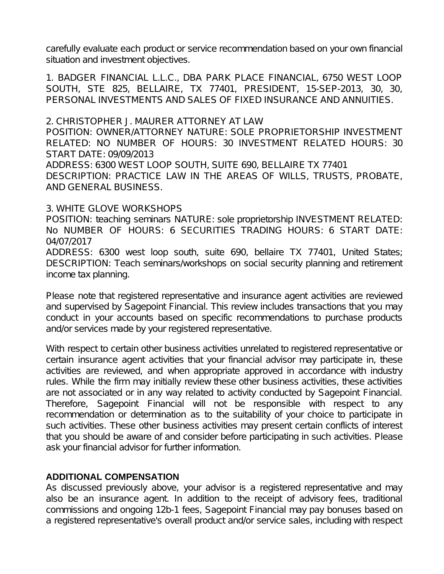carefully evaluate each product or service recommendation based on your own financial situation and investment objectives.

1. BADGER FINANCIAL L.L.C., DBA PARK PLACE FINANCIAL, 6750 WEST LOOP SOUTH, STE 825, BELLAIRE, TX 77401, PRESIDENT, 15-SEP-2013, 30, 30, PERSONAL INVESTMENTS AND SALES OF FIXED INSURANCE AND ANNUITIES.

2. CHRISTOPHER J. MAURER ATTORNEY AT LAW POSITION: OWNER/ATTORNEY NATURE: SOLE PROPRIETORSHIP INVESTMENT RELATED: NO NUMBER OF HOURS: 30 INVESTMENT RELATED HOURS: 30 START DATE: 09/09/2013 ADDRESS: 6300 WEST LOOP SOUTH, SUITE 690, BELLAIRE TX 77401 DESCRIPTION: PRACTICE LAW IN THE AREAS OF WILLS, TRUSTS, PROBATE, AND GENERAL BUSINESS.

## 3. WHITE GLOVE WORKSHOPS

POSITION: teaching seminars NATURE: sole proprietorship INVESTMENT RELATED: No NUMBER OF HOURS: 6 SECURITIES TRADING HOURS: 6 START DATE: 04/07/2017

ADDRESS: 6300 west loop south, suite 690, bellaire TX 77401, United States; DESCRIPTION: Teach seminars/workshops on social security planning and retirement income tax planning.

Please note that registered representative and insurance agent activities are reviewed and supervised by Sagepoint Financial. This review includes transactions that you may conduct in your accounts based on specific recommendations to purchase products and/or services made by your registered representative.

With respect to certain other business activities unrelated to registered representative or certain insurance agent activities that your financial advisor may participate in, these activities are reviewed, and when appropriate approved in accordance with industry rules. While the firm may initially review these other business activities, these activities are not associated or in any way related to activity conducted by Sagepoint Financial. Therefore, Sagepoint Financial will not be responsible with respect to any recommendation or determination as to the suitability of your choice to participate in such activities. These other business activities may present certain conflicts of interest that you should be aware of and consider before participating in such activities. Please ask your financial advisor for further information.

## **ADDITIONAL COMPENSATION**

As discussed previously above, your advisor is a registered representative and may also be an insurance agent. In addition to the receipt of advisory fees, traditional commissions and ongoing 12b-1 fees, Sagepoint Financial may pay bonuses based on a registered representative's overall product and/or service sales, including with respect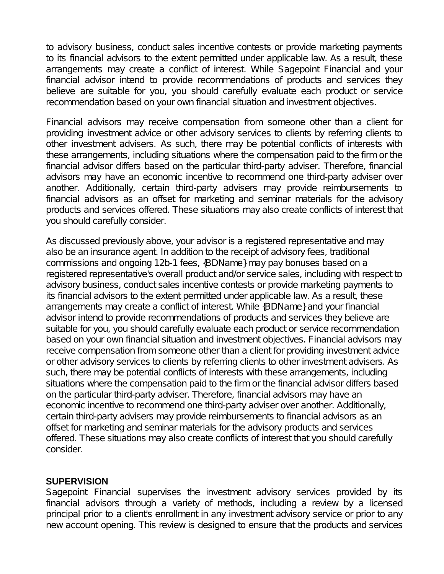to advisory business, conduct sales incentive contests or provide marketing payments to its financial advisors to the extent permitted under applicable law. As a result, these arrangements may create a conflict of interest. While Sagepoint Financial and your financial advisor intend to provide recommendations of products and services they believe are suitable for you, you should carefully evaluate each product or service recommendation based on your own financial situation and investment objectives.

Financial advisors may receive compensation from someone other than a client for providing investment advice or other advisory services to clients by referring clients to other investment advisers. As such, there may be potential conflicts of interests with these arrangements, including situations where the compensation paid to the firm or the financial advisor differs based on the particular third-party adviser. Therefore, financial advisors may have an economic incentive to recommend one third-party adviser over another. Additionally, certain third-party advisers may provide reimbursements to financial advisors as an offset for marketing and seminar materials for the advisory products and services offered. These situations may also create conflicts of interest that you should carefully consider.

As discussed previously above, your advisor is a registered representative and may also be an insurance agent. In addition to the receipt of advisory fees, traditional commissions and ongoing 12b-1 fees, {BDName} may pay bonuses based on a registered representative's overall product and/or service sales, including with respect to advisory business, conduct sales incentive contests or provide marketing payments to its financial advisors to the extent permitted under applicable law. As a result, these arrangements may create a conflict of interest. While {BDName} and your financial advisor intend to provide recommendations of products and services they believe are suitable for you, you should carefully evaluate each product or service recommendation based on your own financial situation and investment objectives. Financial advisors may receive compensation from someone other than a client for providing investment advice or other advisory services to clients by referring clients to other investment advisers. As such, there may be potential conflicts of interests with these arrangements, including situations where the compensation paid to the firm or the financial advisor differs based on the particular third-party adviser. Therefore, financial advisors may have an economic incentive to recommend one third-party adviser over another. Additionally, certain third-party advisers may provide reimbursements to financial advisors as an offset for marketing and seminar materials for the advisory products and services offered. These situations may also create conflicts of interest that you should carefully consider.

### **SUPERVISION**

Sagepoint Financial supervises the investment advisory services provided by its financial advisors through a variety of methods, including a review by a licensed principal prior to a client's enrollment in any investment advisory service or prior to any new account opening. This review is designed to ensure that the products and services